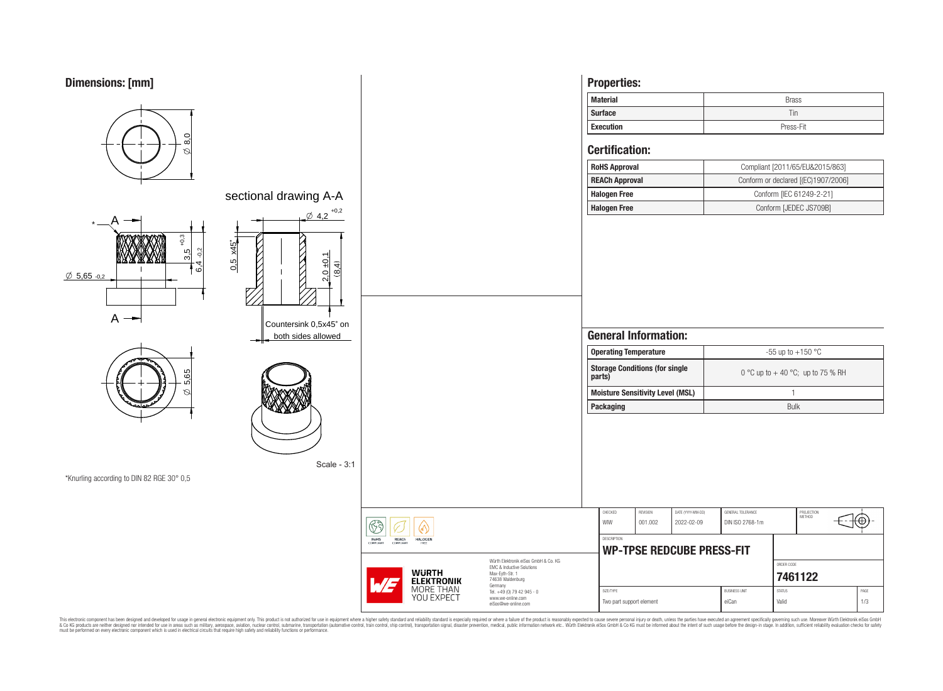# **Dimensions: [mm]**



This electronic component has been designed and developed for usage in general electronic equipment only. This product is not authorized for subserved requipment where a higher selection equipment where a higher selection

eiSos@we-online.com

Two part support element **example 1/3** eiCan Valid Valid Valid 1/3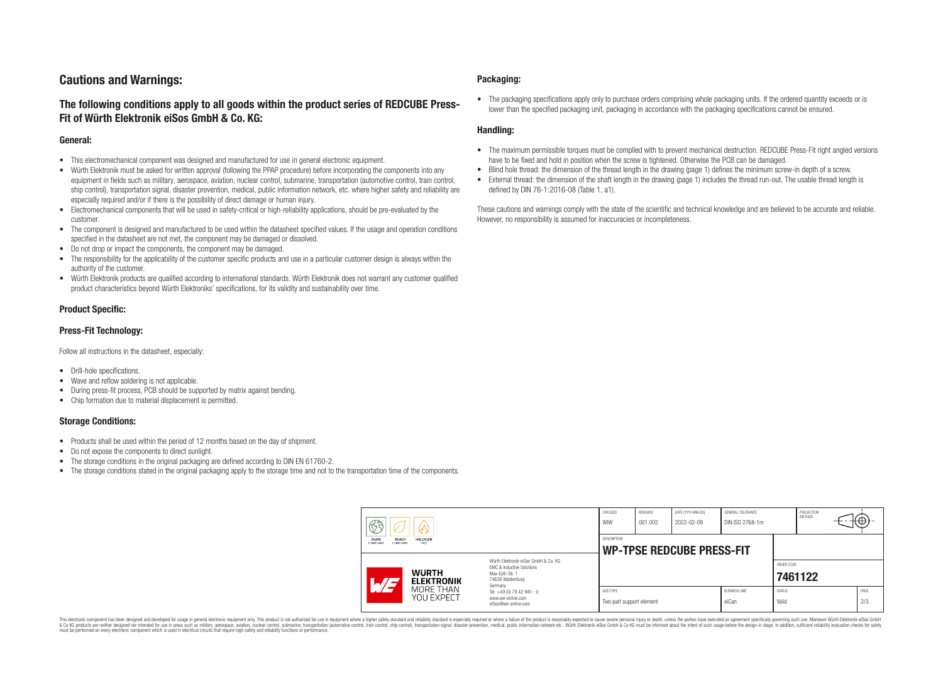# **Cautions and Warnings:**

## **The following conditions apply to all goods within the product series of REDCUBE Press-Fit of Würth Elektronik eiSos GmbH & Co. KG:**

#### **General:**

- This electromechanical component was designed and manufactured for use in general electronic equipment.
- Würth Elektronik must be asked for written approval (following the PPAP procedure) before incorporating the components into any equipment in fields such as military, aerospace, aviation, nuclear control, submarine, transportation (automotive control, train control, ship control), transportation signal, disaster prevention, medical, public information network, etc. where higher safety and reliability are especially required and/or if there is the possibility of direct damage or human injury.
- Electromechanical components that will be used in safety-critical or high-reliability applications, should be pre-evaluated by the customer.
- The component is designed and manufactured to be used within the datasheet specified values. If the usage and operation conditions specified in the datasheet are not met, the component may be damaged or dissolved.
- Do not drop or impact the components, the component may be damaged.
- The responsibility for the applicability of the customer specific products and use in a particular customer design is always within the authority of the customer.
- Würth Elektronik products are qualified according to international standards. Würth Elektronik does not warrant any customer qualified product characteristics beyond Würth Elektroniks' specifications, for its validity and sustainability over time.

### **Product Specific:**

### **Press-Fit Technology:**

Follow all instructions in the datasheet, especially:

- Drill-hole specifications.
- Wave and reflow soldering is not applicable.
- During press-fit process, PCB should be supported by matrix against bending.
- Chip formation due to material displacement is permitted.

### **Storage Conditions:**

- Products shall be used within the period of 12 months based on the day of shipment.
- Do not expose the components to direct sunlight.
- The storage conditions in the original packaging are defined according to DIN EN 61760-2.
- The storage conditions stated in the original packaging apply to the storage time and not to the transportation time of the components.

#### **Packaging:**

• The packaging specifications apply only to purchase orders comprising whole packaging units. If the ordered quantity exceeds or is lower than the specified packaging unit, packaging in accordance with the packaging specifications cannot be ensured.

### **Handling:**

- The maximum permissible torques must be complied with to prevent mechanical destruction. REDCUBE Press-Fit right angled versions have to be fixed and hold in position when the screw is tightened. Otherwise the PCB can be damaged.
- Blind hole thread: the dimension of the thread length in the drawing (page 1) defines the minimum screw-in depth of a screw.
- External thread: the dimension of the shaft length in the drawing (page 1) includes the thread run-out. The usable thread length is defined by DIN 76-1:2016-08 (Table 1, a1).

These cautions and warnings comply with the state of the scientific and technical knowledge and are believed to be accurate and reliable. However, no responsibility is assumed for inaccuracies or incompleteness.

| H<br><b>RoHS</b><br>REACh<br><b>HALOGEN</b><br>COMPLIANT<br>FREE<br><b>COMPLIANT</b> |                                                                                                                                                                                               | CHECKED<br>WIW                                         | <b>REVISION</b><br>001.002 | DATE (YYYY-MM-DD)<br>2022-02-09 | GENERAL TOLERANCE<br>DIN ISO 2768-1m |                        | PROJECTION<br><b>METHOD</b> |  | ι€          |
|--------------------------------------------------------------------------------------|-----------------------------------------------------------------------------------------------------------------------------------------------------------------------------------------------|--------------------------------------------------------|----------------------------|---------------------------------|--------------------------------------|------------------------|-----------------------------|--|-------------|
|                                                                                      |                                                                                                                                                                                               | <b>DESCRIPTION</b><br><b>WP-TPSE REDCUBE PRESS-FIT</b> |                            |                                 |                                      |                        |                             |  |             |
| <b>WURTH</b><br>AT <sub>3</sub><br><b>ELEKTRONIK</b>                                 | Würth Elektronik eiSos GmbH & Co. KG<br>FMC & Inductive Solutions<br>Max-Eyth-Str. 1<br>74638 Waldenburg<br>Germany<br>Tel. +49 (0) 79 42 945 - 0<br>www.we-online.com<br>eiSos@we-online.com |                                                        |                            |                                 |                                      |                        | ORDER CODE<br>7461122       |  |             |
| MORE THAN<br>YOU EXPECT                                                              |                                                                                                                                                                                               | SIZE/TYPE<br>Two part support element                  |                            |                                 | <b>BUSINESS UNIT</b><br>eiCan        | <b>STATUS</b><br>Valid |                             |  | PAGE<br>2/3 |

This electronic component has been designed and developed for usage in general electronic equipment only. This product is not authorized for use in equipment where a higher safety standard and reliability standard si espec & Ook product a label and the membed of the seasuch as marked and as which such a membed and the such assume that income in the seasuch and the simulation and the such assume that include to the such a membed and the such